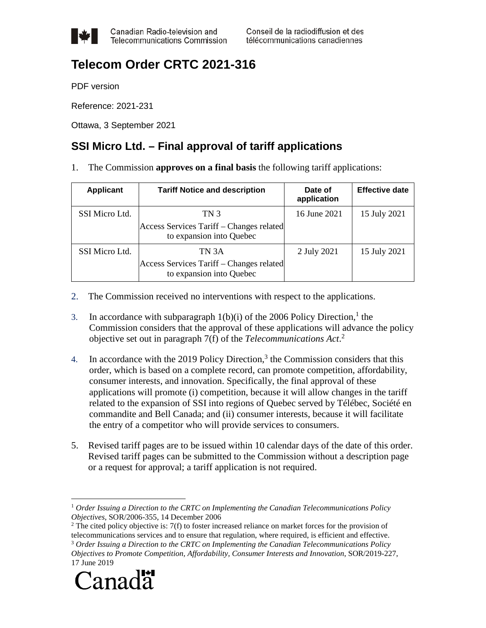

Canadian Radio-television and **Telecommunications Commission** 

## **Telecom Order CRTC 2021-316**

PDF version

Reference: 2021-231

Ottawa, 3 September 2021

## **SSI Micro Ltd. – Final approval of tariff applications**

1. The Commission **approves on a final basis** the following tariff applications:

| <b>Applicant</b> | <b>Tariff Notice and description</b>                                          | Date of<br>application | <b>Effective date</b> |
|------------------|-------------------------------------------------------------------------------|------------------------|-----------------------|
| SSI Micro Ltd.   | TN 3<br>Access Services Tariff – Changes related<br>to expansion into Quebec  | 16 June 2021           | 15 July 2021          |
| SSI Micro Ltd.   | TN 3A<br>Access Services Tariff – Changes related<br>to expansion into Quebec | 2 July 2021            | 15 July 2021          |

- 2. The Commission received no interventions with respect to the applications.
- 3. In accordance with subparagraph  $1(b)(i)$  of the 2006 Policy Direction,<sup>1</sup> the Commission considers that the approval of these applications will advance the policy objective set out in paragraph 7(f) of the *Telecommunications Act*. 2
- 4. In accordance with the 2019 Policy Direction,<sup>3</sup> the Commission considers that this order, which is based on a complete record, can promote competition, affordability, consumer interests, and innovation. Specifically, the final approval of these applications will promote (i) competition, because it will allow changes in the tariff related to the expansion of SSI into regions of Quebec served by Télébec, Société en commandite and Bell Canada; and (ii) consumer interests, because it will facilitate the entry of a competitor who will provide services to consumers.
- 5. Revised tariff pages are to be issued within 10 calendar days of the date of this order. Revised tariff pages can be submitted to the Commission without a description page or a request for approval; a tariff application is not required.

<sup>&</sup>lt;sup>2</sup> The cited policy objective is:  $7(f)$  to foster increased reliance on market forces for the provision of telecommunications services and to ensure that regulation, where required, is efficient and effective. <sup>3</sup> *Order Issuing a Direction to the CRTC on Implementing the Canadian Telecommunications Policy Objectives to Promote Competition, Affordability, Consumer Interests and Innovation*, SOR/2019-227, 17 June 2019



1

<sup>1</sup> *Order Issuing a Direction to the CRTC on Implementing the Canadian Telecommunications Policy Objectives*, SOR/2006-355, 14 December 2006